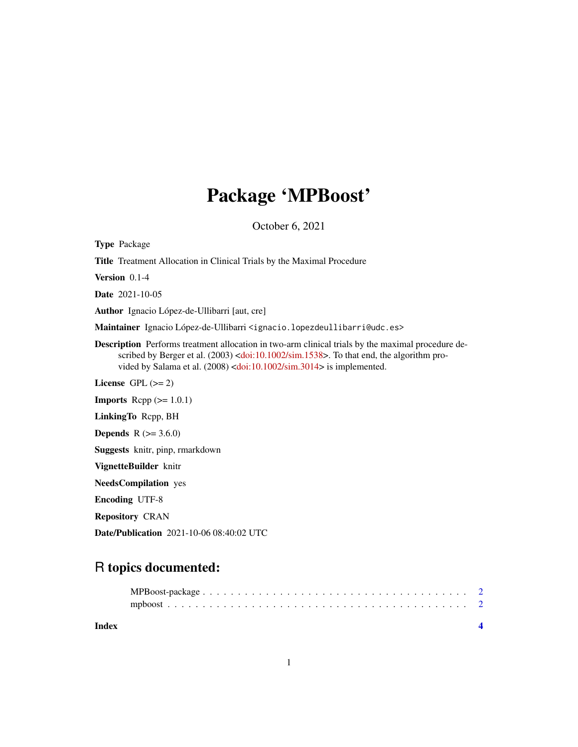## Package 'MPBoost'

October 6, 2021

Type Package Title Treatment Allocation in Clinical Trials by the Maximal Procedure Version 0.1-4 Date 2021-10-05 Author Ignacio López-de-Ullibarri [aut, cre] Maintainer Ignacio López-de-Ullibarri <ignacio.lopezdeullibarri@udc.es> Description Performs treatment allocation in two-arm clinical trials by the maximal procedure de-scribed by Berger et al. (2003) [<doi:10.1002/sim.1538>](https://doi.org/10.1002/sim.1538). To that end, the algorithm provided by Salama et al. (2008) [<doi:10.1002/sim.3014>](https://doi.org/10.1002/sim.3014) is implemented. License GPL  $(>= 2)$ **Imports** Rcpp  $(>= 1.0.1)$ LinkingTo Rcpp, BH **Depends** R  $(>= 3.6.0)$ Suggests knitr, pinp, rmarkdown VignetteBuilder knitr NeedsCompilation yes Encoding UTF-8 Repository CRAN

### R topics documented:

Date/Publication 2021-10-06 08:40:02 UTC

| Index |  |
|-------|--|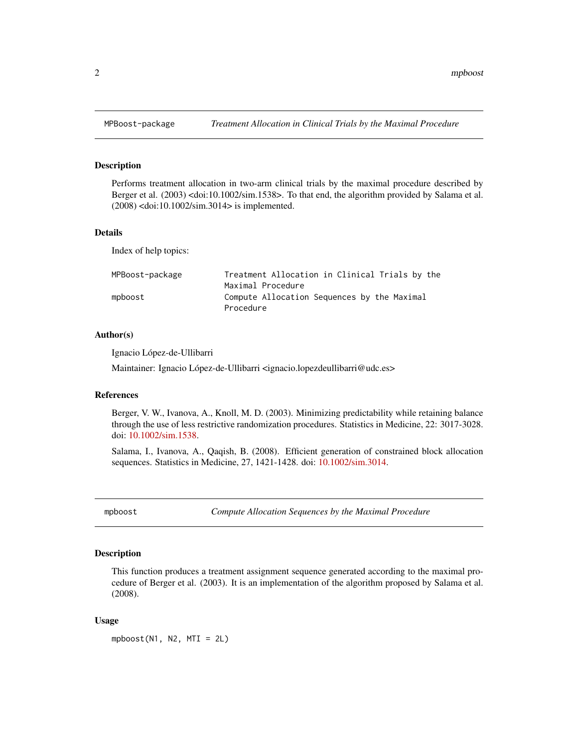#### Description

Performs treatment allocation in two-arm clinical trials by the maximal procedure described by Berger et al. (2003) <doi:10.1002/sim.1538>. To that end, the algorithm provided by Salama et al. (2008) <doi:10.1002/sim.3014> is implemented.

#### Details

Index of help topics:

| MPBoost-package | Treatment Allocation in Clinical Trials by the |
|-----------------|------------------------------------------------|
|                 | Maximal Procedure                              |
| mpboost         | Compute Allocation Sequences by the Maximal    |
|                 | Procedure                                      |

#### Author(s)

Ignacio López-de-Ullibarri

Maintainer: Ignacio López-de-Ullibarri <ignacio.lopezdeullibarri@udc.es>

#### References

Berger, V. W., Ivanova, A., Knoll, M. D. (2003). Minimizing predictability while retaining balance through the use of less restrictive randomization procedures. Statistics in Medicine, 22: 3017-3028. doi: [10.1002/sim.1538.](https://doi.org/10.1002/sim.1538)

Salama, I., Ivanova, A., Qaqish, B. (2008). Efficient generation of constrained block allocation sequences. Statistics in Medicine, 27, 1421-1428. doi: [10.1002/sim.3014.](https://doi.org/10.1002/sim.3014)

mpboost *Compute Allocation Sequences by the Maximal Procedure*

#### Description

This function produces a treatment assignment sequence generated according to the maximal procedure of Berger et al. (2003). It is an implementation of the algorithm proposed by Salama et al. (2008).

#### Usage

 $mpboost(N1, N2, MTI = 2L)$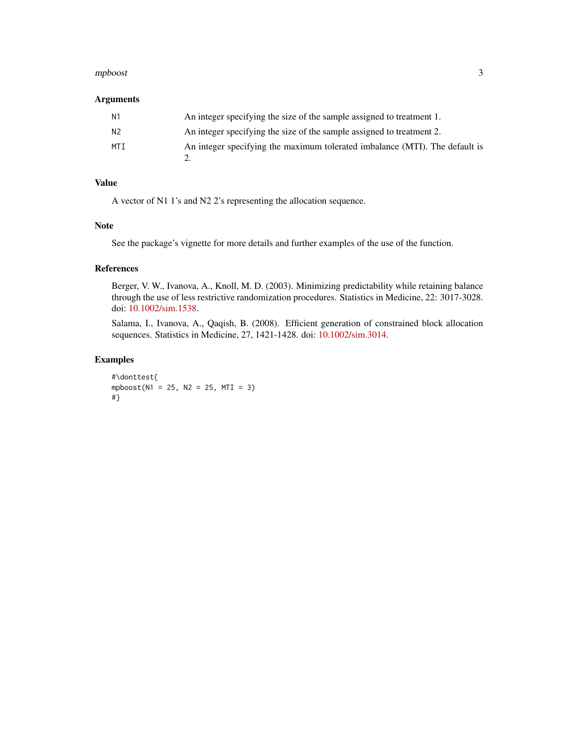#### $m$ pboost $3$

#### Arguments

| Ν1  | An integer specifying the size of the sample assigned to treatment 1.       |
|-----|-----------------------------------------------------------------------------|
| N2  | An integer specifying the size of the sample assigned to treatment 2.       |
| MTT | An integer specifying the maximum tolerated imbalance (MTI). The default is |
|     |                                                                             |

#### Value

A vector of N1 1's and N2 2's representing the allocation sequence.

#### Note

See the package's vignette for more details and further examples of the use of the function.

#### References

Berger, V. W., Ivanova, A., Knoll, M. D. (2003). Minimizing predictability while retaining balance through the use of less restrictive randomization procedures. Statistics in Medicine, 22: 3017-3028. doi: [10.1002/sim.1538.](https://doi.org/10.1002/sim.1538)

Salama, I., Ivanova, A., Qaqish, B. (2008). Efficient generation of constrained block allocation sequences. Statistics in Medicine, 27, 1421-1428. doi: [10.1002/sim.3014.](https://doi.org/10.1002/sim.3014)

#### Examples

#\donttest{  $mpboost(N1 = 25, N2 = 25, MTI = 3)$ #}